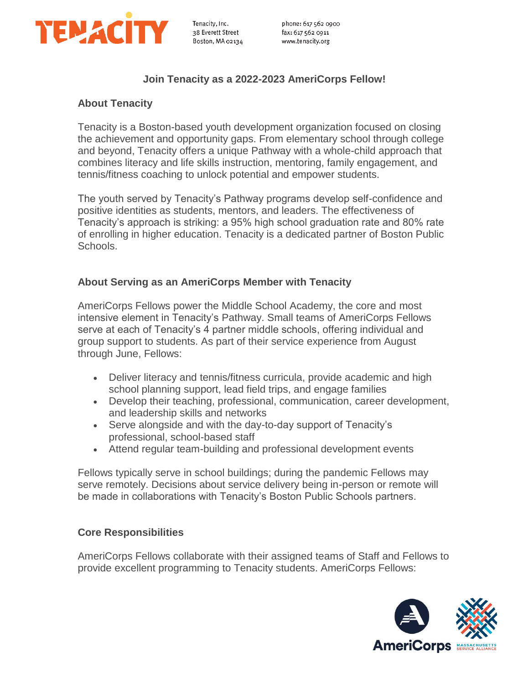

## **Join Tenacity as a 2022-2023 AmeriCorps Fellow!**

## **About Tenacity**

Tenacity is a Boston-based youth development organization focused on closing the achievement and opportunity gaps. From elementary school through college and beyond, Tenacity offers a unique Pathway with a whole-child approach that combines literacy and life skills instruction, mentoring, family engagement, and tennis/fitness coaching to unlock potential and empower students.

The youth served by Tenacity's Pathway programs develop self-confidence and positive identities as students, mentors, and leaders. The effectiveness of Tenacity's approach is striking: a 95% high school graduation rate and 80% rate of enrolling in higher education. Tenacity is a dedicated partner of Boston Public Schools.

### **About Serving as an AmeriCorps Member with Tenacity**

AmeriCorps Fellows power the Middle School Academy, the core and most intensive element in Tenacity's Pathway. Small teams of AmeriCorps Fellows serve at each of Tenacity's 4 partner middle schools, offering individual and group support to students. As part of their service experience from August through June, Fellows:

- Deliver literacy and tennis/fitness curricula, provide academic and high school planning support, lead field trips, and engage families
- Develop their teaching, professional, communication, career development, and leadership skills and networks
- Serve alongside and with the day-to-day support of Tenacity's professional, school-based staff
- Attend regular team-building and professional development events

Fellows typically serve in school buildings; during the pandemic Fellows may serve remotely. Decisions about service delivery being in-person or remote will be made in collaborations with Tenacity's Boston Public Schools partners.

#### **Core Responsibilities**

AmeriCorps Fellows collaborate with their assigned teams of Staff and Fellows to provide excellent programming to Tenacity students. AmeriCorps Fellows:

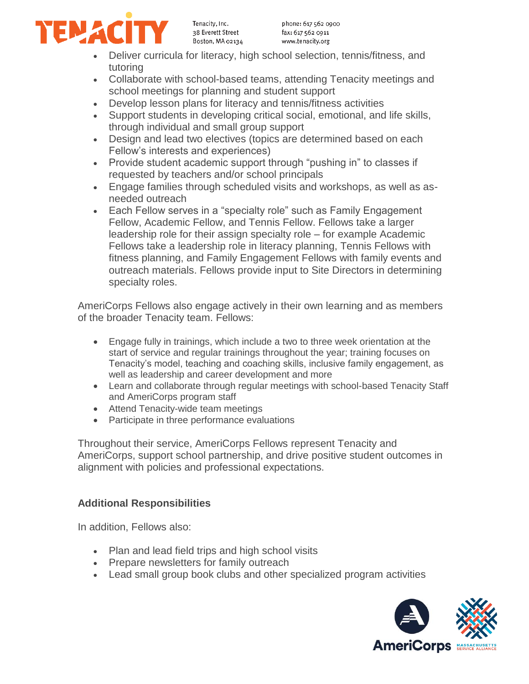

Tenacity, Inc. 38 Everett Street Boston, MA 02134

- Deliver curricula for literacy, high school selection, tennis/fitness, and tutoring
- Collaborate with school-based teams, attending Tenacity meetings and school meetings for planning and student support
- Develop lesson plans for literacy and tennis/fitness activities
- Support students in developing critical social, emotional, and life skills, through individual and small group support
- Design and lead two electives (topics are determined based on each Fellow's interests and experiences)
- Provide student academic support through "pushing in" to classes if requested by teachers and/or school principals
- Engage families through scheduled visits and workshops, as well as asneeded outreach
- Each Fellow serves in a "specialty role" such as Family Engagement Fellow, Academic Fellow, and Tennis Fellow. Fellows take a larger leadership role for their assign specialty role – for example Academic Fellows take a leadership role in literacy planning, Tennis Fellows with fitness planning, and Family Engagement Fellows with family events and outreach materials. Fellows provide input to Site Directors in determining specialty roles.

AmeriCorps Fellows also engage actively in their own learning and as members of the broader Tenacity team. Fellows:

- Engage fully in trainings, which include a two to three week orientation at the start of service and regular trainings throughout the year; training focuses on Tenacity's model, teaching and coaching skills, inclusive family engagement, as well as leadership and career development and more
- Learn and collaborate through regular meetings with school-based Tenacity Staff and AmeriCorps program staff
- Attend Tenacity-wide team meetings
- Participate in three performance evaluations

Throughout their service, AmeriCorps Fellows represent Tenacity and AmeriCorps, support school partnership, and drive positive student outcomes in alignment with policies and professional expectations.

## **Additional Responsibilities**

In addition, Fellows also:

- Plan and lead field trips and high school visits
- Prepare newsletters for family outreach
- Lead small group book clubs and other specialized program activities

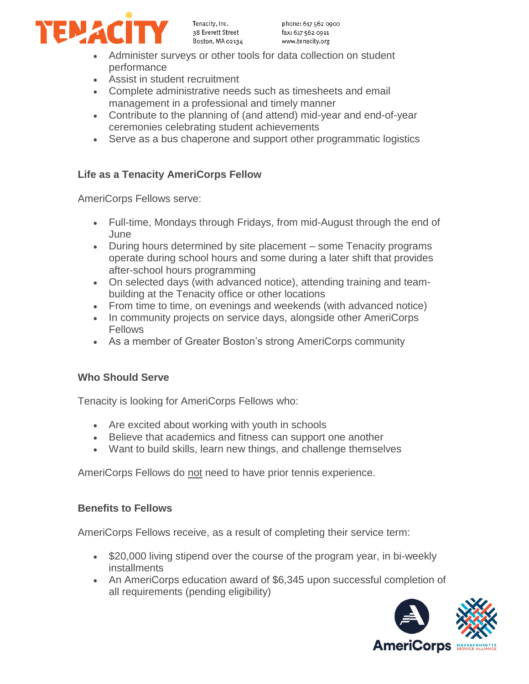

Tenacity, Inc. 38 Everett Street Boston, MA 02134

- Administer surveys or other tools for data collection on student performance
- Assist in student recruitment
- Complete administrative needs such as timesheets and email management in a professional and timely manner
- Contribute to the planning of (and attend) mid-year and end-of-year ceremonies celebrating student achievements
- Serve as a bus chaperone and support other programmatic logistics

# **Life as a Tenacity AmeriCorps Fellow**

AmeriCorps Fellows serve:

- Full-time, Mondays through Fridays, from mid-August through the end of June
- During hours determined by site placement some Tenacity programs operate during school hours and some during a later shift that provides after-school hours programming
- On selected days (with advanced notice), attending training and teambuilding at the Tenacity office or other locations
- From time to time, on evenings and weekends (with advanced notice)
- In community projects on service days, alongside other AmeriCorps Fellows
- As a member of Greater Boston's strong AmeriCorps community

# **Who Should Serve**

Tenacity is looking for AmeriCorps Fellows who:

- Are excited about working with youth in schools
- Believe that academics and fitness can support one another
- Want to build skills, learn new things, and challenge themselves

AmeriCorps Fellows do not need to have prior tennis experience.

# **Benefits to Fellows**

AmeriCorps Fellows receive, as a result of completing their service term:

- \$20,000 living stipend over the course of the program year, in bi-weekly installments
- An AmeriCorps education award of \$6,345 upon successful completion of all requirements (pending eligibility)